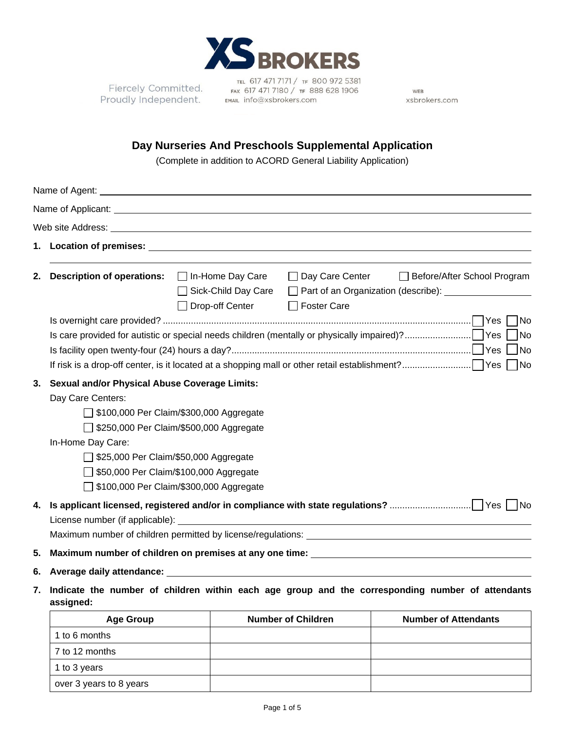

Fiercely Committed. Proudly Independent.

1 to 3 years

over 3 years to 8 years

TEL 617 471 7171 / TF 800 972 5381 FAX 617 471 7180 / TF 888 628 1906 EMAIL info@xsbrokers.com

WEB xsbrokers.com

## **Day Nurseries And Preschools Supplemental Application**

(Complete in addition to ACORD General Liability Application)

|                | Web site Address: Web and the Second Second Second Second Second Second Second Second Second Second Second Second Second Second Second Second Second Second Second Second Second Second Second Second Second Second Second Sec                                                                                          |                                                                                                                                                                                                                                      |                           |                                                                                                                         |  |  |
|----------------|-------------------------------------------------------------------------------------------------------------------------------------------------------------------------------------------------------------------------------------------------------------------------------------------------------------------------|--------------------------------------------------------------------------------------------------------------------------------------------------------------------------------------------------------------------------------------|---------------------------|-------------------------------------------------------------------------------------------------------------------------|--|--|
|                |                                                                                                                                                                                                                                                                                                                         | 1. Location of premises: <b>All any of the Contract of All any of the Contract of All any of the Contract of All any of the Contract of All any of the Contract of All any of the Contract of All any of the Contract of All any</b> |                           |                                                                                                                         |  |  |
| 2.             | <b>Description of operations:</b>                                                                                                                                                                                                                                                                                       | $\Box$ In-Home Day Care<br>Sick-Child Day Care<br>Drop-off Center                                                                                                                                                                    | □ Foster Care             | □ Day Care Center □ Before/After School Program<br>Part of an Organization (describe): __________________<br><b>INo</b> |  |  |
|                | No<br><b>No</b>                                                                                                                                                                                                                                                                                                         |                                                                                                                                                                                                                                      |                           |                                                                                                                         |  |  |
| 3.             | <b>Sexual and/or Physical Abuse Coverage Limits:</b><br>Day Care Centers:<br>□ \$100,000 Per Claim/\$300,000 Aggregate<br>\$250,000 Per Claim/\$500,000 Aggregate<br>In-Home Day Care:<br>□ \$25,000 Per Claim/\$50,000 Aggregate<br>550,000 Per Claim/\$100,000 Aggregate<br>□ \$100,000 Per Claim/\$300,000 Aggregate |                                                                                                                                                                                                                                      |                           |                                                                                                                         |  |  |
| 4.<br>5.<br>6. | License number (if applicable): _____<br><u> 1980 - Johann Barbara, martxa amerikan personal (h. 1980).</u><br>Maximum number of children on premises at any one time:<br>Average daily attendance: Network                                                                                                             |                                                                                                                                                                                                                                      |                           |                                                                                                                         |  |  |
| 7.             | Indicate the number of children within each age group and the corresponding number of attendants<br>assigned:                                                                                                                                                                                                           |                                                                                                                                                                                                                                      |                           |                                                                                                                         |  |  |
|                | <b>Age Group</b>                                                                                                                                                                                                                                                                                                        |                                                                                                                                                                                                                                      | <b>Number of Children</b> | <b>Number of Attendants</b>                                                                                             |  |  |
|                | 1 to 6 months<br>7 to 12 months                                                                                                                                                                                                                                                                                         |                                                                                                                                                                                                                                      |                           |                                                                                                                         |  |  |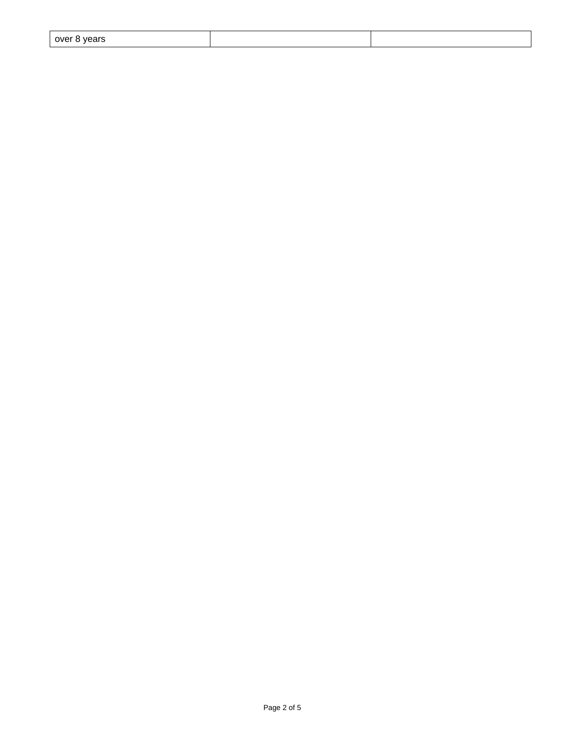| over 8 years |  |  |
|--------------|--|--|
|--------------|--|--|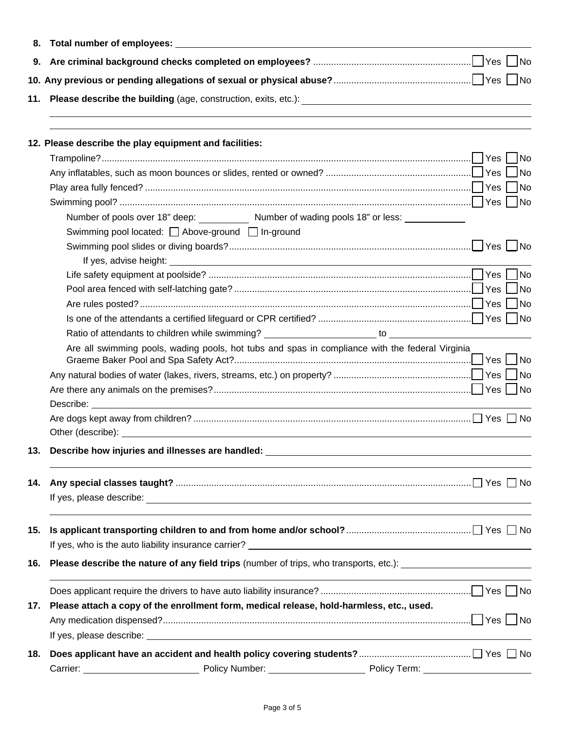| 8.  |                                                                                                                                                                                                                                      |  |  |  |  |  |  |
|-----|--------------------------------------------------------------------------------------------------------------------------------------------------------------------------------------------------------------------------------------|--|--|--|--|--|--|
| 9.  |                                                                                                                                                                                                                                      |  |  |  |  |  |  |
|     |                                                                                                                                                                                                                                      |  |  |  |  |  |  |
| 11. |                                                                                                                                                                                                                                      |  |  |  |  |  |  |
|     |                                                                                                                                                                                                                                      |  |  |  |  |  |  |
|     | 12. Please describe the play equipment and facilities:                                                                                                                                                                               |  |  |  |  |  |  |
|     |                                                                                                                                                                                                                                      |  |  |  |  |  |  |
|     |                                                                                                                                                                                                                                      |  |  |  |  |  |  |
|     |                                                                                                                                                                                                                                      |  |  |  |  |  |  |
|     |                                                                                                                                                                                                                                      |  |  |  |  |  |  |
|     | Number of pools over 18" deep: ____________ Number of wading pools 18" or less: ____________                                                                                                                                         |  |  |  |  |  |  |
|     | Swimming pool located: △ Above-ground △ In-ground                                                                                                                                                                                    |  |  |  |  |  |  |
|     |                                                                                                                                                                                                                                      |  |  |  |  |  |  |
|     |                                                                                                                                                                                                                                      |  |  |  |  |  |  |
|     |                                                                                                                                                                                                                                      |  |  |  |  |  |  |
|     |                                                                                                                                                                                                                                      |  |  |  |  |  |  |
|     |                                                                                                                                                                                                                                      |  |  |  |  |  |  |
|     |                                                                                                                                                                                                                                      |  |  |  |  |  |  |
|     |                                                                                                                                                                                                                                      |  |  |  |  |  |  |
|     | Are all swimming pools, wading pools, hot tubs and spas in compliance with the federal Virginia                                                                                                                                      |  |  |  |  |  |  |
|     |                                                                                                                                                                                                                                      |  |  |  |  |  |  |
|     |                                                                                                                                                                                                                                      |  |  |  |  |  |  |
|     |                                                                                                                                                                                                                                      |  |  |  |  |  |  |
|     | Describe: <u>example and the contract of the contract of the contract of the contract of the contract of the contract of the contract of the contract of the contract of the contract of the contract of the contract of the con</u> |  |  |  |  |  |  |
|     |                                                                                                                                                                                                                                      |  |  |  |  |  |  |
|     | Other (describe): example and the state of the state of the state of the state of the state of the state of the state of the state of the state of the state of the state of the state of the state of the state of the state        |  |  |  |  |  |  |
| 13. | Describe how injuries and illnesses are handled:                                                                                                                                                                                     |  |  |  |  |  |  |
| 14. |                                                                                                                                                                                                                                      |  |  |  |  |  |  |
|     |                                                                                                                                                                                                                                      |  |  |  |  |  |  |
|     |                                                                                                                                                                                                                                      |  |  |  |  |  |  |
| 15. |                                                                                                                                                                                                                                      |  |  |  |  |  |  |
|     |                                                                                                                                                                                                                                      |  |  |  |  |  |  |
| 16. | Please describe the nature of any field trips (number of trips, who transports, etc.): _______________________                                                                                                                       |  |  |  |  |  |  |
|     |                                                                                                                                                                                                                                      |  |  |  |  |  |  |
| 17. | Please attach a copy of the enrollment form, medical release, hold-harmless, etc., used.                                                                                                                                             |  |  |  |  |  |  |
|     |                                                                                                                                                                                                                                      |  |  |  |  |  |  |
|     |                                                                                                                                                                                                                                      |  |  |  |  |  |  |
| 18. |                                                                                                                                                                                                                                      |  |  |  |  |  |  |
|     | Carrier: <u>________________________</u>                                                                                                                                                                                             |  |  |  |  |  |  |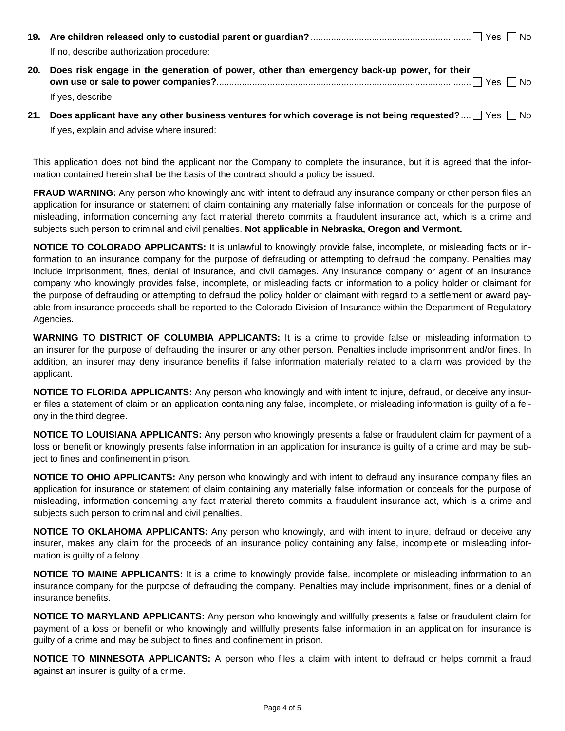| If no, describe authorization procedure:                                                                                                                                                                                            |  |  |  |  |
|-------------------------------------------------------------------------------------------------------------------------------------------------------------------------------------------------------------------------------------|--|--|--|--|
| 20. Does risk engage in the generation of power, other than emergency back-up power, for their                                                                                                                                      |  |  |  |  |
| If yes, describe: <u>superiority</u> and the set of the set of the set of the set of the set of the set of the set of the set of the set of the set of the set of the set of the set of the set of the set of the set of the set of |  |  |  |  |

**21. Does applicant have any other business ventures for which coverage is not being requested?** ....  $\Box$  Yes  $\Box$  No If yes, explain and advise where insured:

This application does not bind the applicant nor the Company to complete the insurance, but it is agreed that the information contained herein shall be the basis of the contract should a policy be issued.

**FRAUD WARNING:** Any person who knowingly and with intent to defraud any insurance company or other person files an application for insurance or statement of claim containing any materially false information or conceals for the purpose of misleading, information concerning any fact material thereto commits a fraudulent insurance act, which is a crime and subjects such person to criminal and civil penalties. **Not applicable in Nebraska, Oregon and Vermont.**

**NOTICE TO COLORADO APPLICANTS:** It is unlawful to knowingly provide false, incomplete, or misleading facts or information to an insurance company for the purpose of defrauding or attempting to defraud the company. Penalties may include imprisonment, fines, denial of insurance, and civil damages. Any insurance company or agent of an insurance company who knowingly provides false, incomplete, or misleading facts or information to a policy holder or claimant for the purpose of defrauding or attempting to defraud the policy holder or claimant with regard to a settlement or award payable from insurance proceeds shall be reported to the Colorado Division of Insurance within the Department of Regulatory Agencies.

**WARNING TO DISTRICT OF COLUMBIA APPLICANTS:** It is a crime to provide false or misleading information to an insurer for the purpose of defrauding the insurer or any other person. Penalties include imprisonment and/or fines. In addition, an insurer may deny insurance benefits if false information materially related to a claim was provided by the applicant.

**NOTICE TO FLORIDA APPLICANTS:** Any person who knowingly and with intent to injure, defraud, or deceive any insurer files a statement of claim or an application containing any false, incomplete, or misleading information is guilty of a felony in the third degree.

**NOTICE TO LOUISIANA APPLICANTS:** Any person who knowingly presents a false or fraudulent claim for payment of a loss or benefit or knowingly presents false information in an application for insurance is guilty of a crime and may be subject to fines and confinement in prison.

**NOTICE TO OHIO APPLICANTS:** Any person who knowingly and with intent to defraud any insurance company files an application for insurance or statement of claim containing any materially false information or conceals for the purpose of misleading, information concerning any fact material thereto commits a fraudulent insurance act, which is a crime and subjects such person to criminal and civil penalties.

**NOTICE TO OKLAHOMA APPLICANTS:** Any person who knowingly, and with intent to injure, defraud or deceive any insurer, makes any claim for the proceeds of an insurance policy containing any false, incomplete or misleading information is guilty of a felony.

**NOTICE TO MAINE APPLICANTS:** It is a crime to knowingly provide false, incomplete or misleading information to an insurance company for the purpose of defrauding the company. Penalties may include imprisonment, fines or a denial of insurance benefits.

**NOTICE TO MARYLAND APPLICANTS:** Any person who knowingly and willfully presents a false or fraudulent claim for payment of a loss or benefit or who knowingly and willfully presents false information in an application for insurance is guilty of a crime and may be subject to fines and confinement in prison.

**NOTICE TO MINNESOTA APPLICANTS:** A person who files a claim with intent to defraud or helps commit a fraud against an insurer is guilty of a crime.